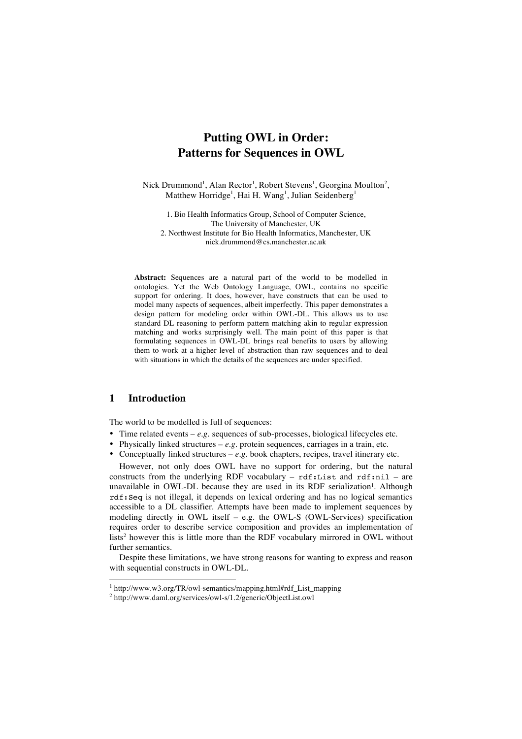# **Putting OWL in Order: Patterns for Sequences in OWL**

Nick Drummond<sup>1</sup>, Alan Rector<sup>1</sup>, Robert Stevens<sup>1</sup>, Georgina Moulton<sup>2</sup>, Matthew Horridge<sup>1</sup>, Hai H. Wang<sup>1</sup>, Julian Seidenberg<sup>1</sup>

1. Bio Health Informatics Group, School of Computer Science, The University of Manchester, UK 2. Northwest Institute for Bio Health Informatics, Manchester, UK nick.drummond@cs.manchester.ac.uk

**Abstract:** Sequences are a natural part of the world to be modelled in ontologies. Yet the Web Ontology Language, OWL, contains no specific support for ordering. It does, however, have constructs that can be used to model many aspects of sequences, albeit imperfectly. This paper demonstrates a design pattern for modeling order within OWL-DL. This allows us to use standard DL reasoning to perform pattern matching akin to regular expression matching and works surprisingly well. The main point of this paper is that formulating sequences in OWL-DL brings real benefits to users by allowing them to work at a higher level of abstraction than raw sequences and to deal with situations in which the details of the sequences are under specified.

# **1 Introduction**

The world to be modelled is full of sequences:

- Time related events *e.g.* sequences of sub-processes, biological lifecycles etc.
- Physically linked structures  $-e.g.$  protein sequences, carriages in a train, etc.
- Conceptually linked structures *e.g.* book chapters, recipes, travel itinerary etc.

However, not only does OWL have no support for ordering, but the natural constructs from the underlying RDF vocabulary -  $\text{rdf:List}$  and  $\text{rdf:nil}$  - are unavailable in OWL-DL because they are used in its RDF serialization<sup>1</sup>. Although rdf:Seq is not illegal, it depends on lexical ordering and has no logical semantics accessible to a DL classifier. Attempts have been made to implement sequences by modeling directly in OWL itself – e.g. the OWL-S (OWL-Services) specification requires order to describe service composition and provides an implementation of lists<sup>2</sup> however this is little more than the RDF vocabulary mirrored in OWL without further semantics.

Despite these limitations, we have strong reasons for wanting to express and reason with sequential constructs in OWL-DL.

 <sup>1</sup> http://www.w3.org/TR/owl-semantics/mapping.html#rdf\_List\_mapping

<sup>2</sup> http://www.daml.org/services/owl-s/1.2/generic/ObjectList.owl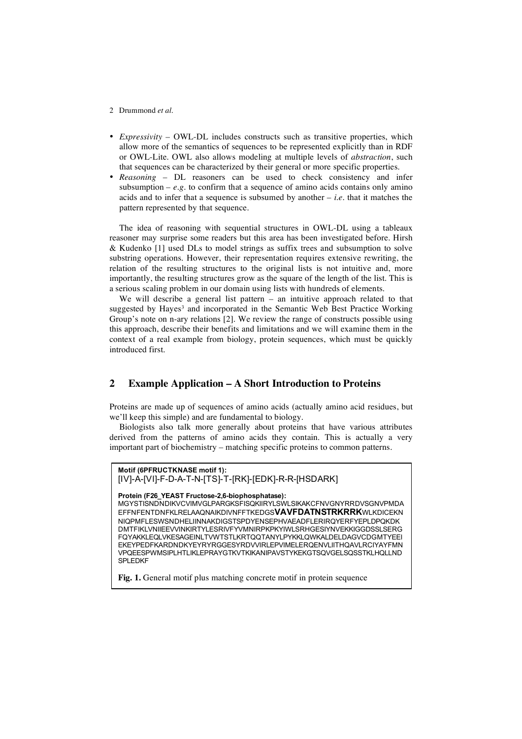- *Expressivity* OWL-DL includes constructs such as transitive properties, which allow more of the semantics of sequences to be represented explicitly than in RDF or OWL-Lite. OWL also allows modeling at multiple levels of *abstraction*, such that sequences can be characterized by their general or more specific properties.
- *Reasoning* DL reasoners can be used to check consistency and infer subsumption  $-e.g.$  to confirm that a sequence of amino acids contains only amino acids and to infer that a sequence is subsumed by another  $-$  *i.e.* that it matches the pattern represented by that sequence.

The idea of reasoning with sequential structures in OWL-DL using a tableaux reasoner may surprise some readers but this area has been investigated before. Hirsh & Kudenko [1] used DLs to model strings as suffix trees and subsumption to solve substring operations. However, their representation requires extensive rewriting, the relation of the resulting structures to the original lists is not intuitive and, more importantly, the resulting structures grow as the square of the length of the list. This is a serious scaling problem in our domain using lists with hundreds of elements.

We will describe a general list pattern – an intuitive approach related to that suggested by Hayes<sup>3</sup> and incorporated in the Semantic Web Best Practice Working Group's note on n-ary relations [2]. We review the range of constructs possible using this approach, describe their benefits and limitations and we will examine them in the context of a real example from biology, protein sequences, which must be quickly introduced first.

# **2 Example Application – A Short Introduction to Proteins**

Proteins are made up of sequences of amino acids (actually amino acid residues, but we'll keep this simple) and are fundamental to biology.

Biologists also talk more generally about proteins that have various attributes derived from the patterns of amino acids they contain. This is actually a very important part of biochemistry – matching specific proteins to common patterns.

#### **Motif (6PFRUCTKNASE motif 1):** [IV]-A-[VI]-F-D-A-T-N-[TS]-T-[RK]-[EDK]-R-R-[HSDARK]

#### **Protein (F26\_YEAST Fructose-2,6-biophosphatase):**

MGYSTISNDNDIKVCVIMVGLPARGKSFISQKIIRYLSWLSIKAKCFNVGNYRRDVSGNVPMDA EFFNFENTDNFKLRELAAQNAIKDIVNFFTKEDGS**VAVFDATNSTRKRRK**WLKDICEKN NIQPMFLESWSNDHELIINNAKDIGSTSPDYENSEPHVAEADFLERIRQYERFYEPLDPQKDK DMTFIKLVNIIEEVVINKIRTYLESRIVFYVMNIRPKPKYIWLSRHGESIYNVEKKIGGDSSLSERG FQYAKKLEQLVKESAGEINLTVWTSTLKRTQQTANYLPYKKLQWKALDELDAGVCDGMTYEEI EKEYPEDFKARDNDKYEYRYRGGESYRDVVIRLEPVIMELERQENVLIITHQAVLRCIYAYFMN VPQEESPWMSIPLHTLIKLEPRAYGTKVTKIKANIPAVSTYKEKGTSQVGELSQSSTKLHQLLND SPLEDKF

**Fig. 1.** General motif plus matching concrete motif in protein sequence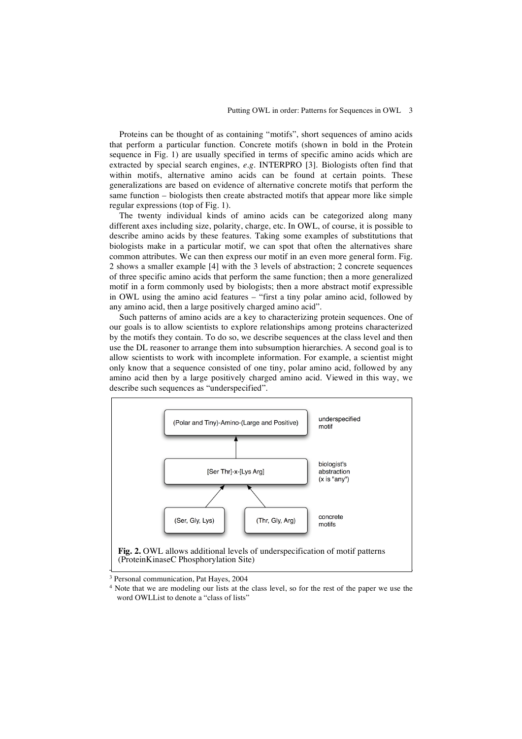Proteins can be thought of as containing "motifs", short sequences of amino acids that perform a particular function. Concrete motifs (shown in bold in the Protein sequence in Fig. 1) are usually specified in terms of specific amino acids which are extracted by special search engines, *e.g.* INTERPRO [3]. Biologists often find that within motifs, alternative amino acids can be found at certain points. These generalizations are based on evidence of alternative concrete motifs that perform the same function – biologists then create abstracted motifs that appear more like simple regular expressions (top of Fig. 1).

The twenty individual kinds of amino acids can be categorized along many different axes including size, polarity, charge, etc. In OWL, of course, it is possible to describe amino acids by these features. Taking some examples of substitutions that biologists make in a particular motif, we can spot that often the alternatives share common attributes. We can then express our motif in an even more general form. Fig. 2 shows a smaller example [4] with the 3 levels of abstraction; 2 concrete sequences of three specific amino acids that perform the same function; then a more generalized motif in a form commonly used by biologists; then a more abstract motif expressible in OWL using the amino acid features – "first a tiny polar amino acid, followed by any amino acid, then a large positively charged amino acid".

Such patterns of amino acids are a key to characterizing protein sequences. One of our goals is to allow scientists to explore relationships among proteins characterized by the motifs they contain. To do so, we describe sequences at the class level and then use the DL reasoner to arrange them into subsumption hierarchies. A second goal is to allow scientists to work with incomplete information. For example, a scientist might only know that a sequence consisted of one tiny, polar amino acid, followed by any amino acid then by a large positively charged amino acid. Viewed in this way, we describe such sequences as "underspecified".



<sup>&</sup>lt;sup>3</sup> Personal communication, Pat Hayes, 2004

<sup>&</sup>lt;sup>4</sup> Note that we are modeling our lists at the class level, so for the rest of the paper we use the word OWLList to denote a "class of lists"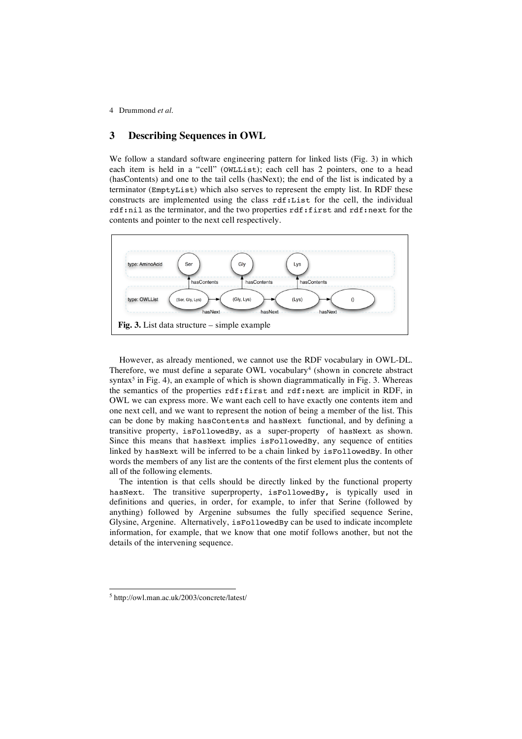### **3 Describing Sequences in OWL**

We follow a standard software engineering pattern for linked lists (Fig. 3) in which each item is held in a "cell" (OWLList); each cell has 2 pointers, one to a head (hasContents) and one to the tail cells (hasNext); the end of the list is indicated by a terminator (EmptyList) which also serves to represent the empty list. In RDF these constructs are implemented using the class rdf:List for the cell, the individual rdf:nil as the terminator, and the two properties rdf:first and rdf:next for the contents and pointer to the next cell respectively.



However, as already mentioned, we cannot use the RDF vocabulary in OWL-DL. Therefore, we must define a separate OWL vocabulary<sup>4</sup> (shown in concrete abstract syntax<sup>5</sup> in Fig. 4), an example of which is shown diagrammatically in Fig. 3. Whereas the semantics of the properties rdf:first and rdf:next are implicit in RDF, in OWL we can express more. We want each cell to have exactly one contents item and one next cell, and we want to represent the notion of being a member of the list. This can be done by making hasContents and hasNext functional, and by defining a transitive property, isFollowedBy, as a super-property of hasNext as shown. Since this means that hasNext implies isFollowedBy, any sequence of entities linked by hasNext will be inferred to be a chain linked by isFollowedBy. In other words the members of any list are the contents of the first element plus the contents of all of the following elements.

The intention is that cells should be directly linked by the functional property hasNext. The transitive superproperty, isFollowedBy, is typically used in definitions and queries, in order, for example, to infer that Serine (followed by anything) followed by Argenine subsumes the fully specified sequence Serine, Glysine, Argenine. Alternatively, isFollowedBy can be used to indicate incomplete information, for example, that we know that one motif follows another, but not the details of the intervening sequence.

 <sup>5</sup> http://owl.man.ac.uk/2003/concrete/latest/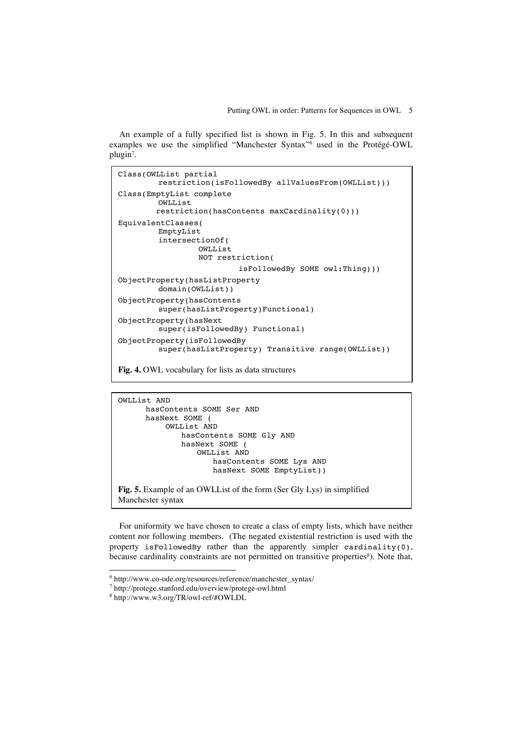#### Putting OWL in order: Patterns for Sequences in OWL 5

An example of a fully specified list is shown in Fig. 5. In this and subsequent examples we use the simplified "Manchester Syntax"6 used in the Protégé-OWL plugin7.

```
Class(OWLList partial
        restriction(isFollowedBy allValuesFrom(OWLList)))
Class(EmptyList complete
        OWLList
        restriction(hasContents maxCardinality(0)))
EquivalentClasses(
        EmptyList
        intersectionOf(
                 OWLList
                 NOT restriction(
                          isFollowedBy SOME owl:Thing)))
ObjectProperty(hasListProperty
        domain(OWLList))
ObjectProperty(hasContents
        super(hasListProperty)Functional)
ObjectProperty(hasNext
        super(isFollowedBy) Functional)
ObjectProperty(isFollowedBy
        super(hasListProperty) Transitive range(OWLList))
```
**Fig. 4.** OWL vocabulary for lists as data structures

OWLList AND hasContents SOME Ser AND hasNext SOME ( OWLList AND hasContents SOME Gly AND hasNext SOME ( OWLList AND hasContents SOME Lys AND hasNext SOME EmptyList))

**Fig. 5.** Example of an OWLList of the form (Ser Gly Lys) in simplified Manchester syntax

For uniformity we have chosen to create a class of empty lists, which have neither content nor following members. (The negated existential restriction is used with the property isFollowedBy rather than the apparently simpler cardinality(0), because cardinality constraints are not permitted on transitive properties<sup>8</sup>). Note that,

 <sup>6</sup> http://www.co-ode.org/resources/reference/manchester\_syntax/

<sup>7</sup> http://protege.stanford.edu/overview/protege-owl.html

<sup>8</sup> http://www.w3.org/TR/owl-ref/#OWLDL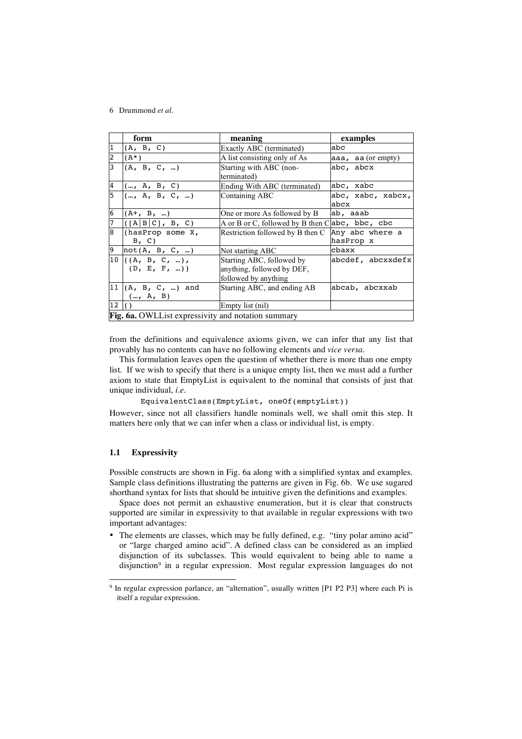|                 | form                                                         | meaning                                            | examples                 |  |  |
|-----------------|--------------------------------------------------------------|----------------------------------------------------|--------------------------|--|--|
| 1               | (A, B, C)                                                    | Exactly ABC (terminated)                           | abc                      |  |  |
| $\overline{c}$  | $(A^*)$                                                      | A list consisting only of As                       | aaa, aa $($ or empty $)$ |  |  |
| $\overline{3}$  | (A, B, C, )                                                  | Starting with ABC (non-                            | abc, abcx                |  |  |
|                 |                                                              | terminated)                                        |                          |  |  |
| $\overline{4}$  | $(\dots, A, B, C)$                                           | Ending With ABC (terminated)                       | abc, xabc                |  |  |
| 5               | (, A, B, C, )                                                | Containing ABC                                     | abc, xabc, xabcx,        |  |  |
|                 |                                                              |                                                    | abcx                     |  |  |
| 6               | $(A+, B, )$                                                  | One or more As followed by B                       | ab, aaab                 |  |  |
| $\overline{7}$  | $\left  \begin{array}{cc}  A B C , B, C \end{array} \right $ | A or B or C, followed by B then C $abc$ , bbc, cbc |                          |  |  |
| 8               | (hasProp some X,                                             | Restriction followed by B then C                   | Any abc where a          |  |  |
|                 | B, C)                                                        |                                                    | hasProp x                |  |  |
| 9               | not(A, B, C, )                                               | Not starting ABC                                   | cbaxx                    |  |  |
|                 | $10$ ((A, B, C, ),                                           | Starting ABC, followed by                          | abcdef, abcxxdefx        |  |  |
|                 | (D, E, F, ))                                                 | anything, followed by DEF,                         |                          |  |  |
|                 |                                                              | followed by anything                               |                          |  |  |
|                 | $11$ (A, B, C, ) and                                         | Starting ABC, and ending AB                        | abcab, abcxxab           |  |  |
|                 | (, A, B)                                                     |                                                    |                          |  |  |
| 12 <sup>1</sup> |                                                              | Empty list (nil)                                   |                          |  |  |
|                 | <b>Fig. 6a.</b> OWLL ist expressivity and notation summary   |                                                    |                          |  |  |

from the definitions and equivalence axioms given, we can infer that any list that provably has no contents can have no following elements and *vice versa*.

This formulation leaves open the question of whether there is more than one empty list. If we wish to specify that there is a unique empty list, then we must add a further axiom to state that EmptyList is equivalent to the nominal that consists of just that unique individual, *i.e.*

EquivalentClass(EmptyList, oneOf(emptyList))

However, since not all classifiers handle nominals well, we shall omit this step. It matters here only that we can infer when a class or individual list, is empty.

#### **1.1 Expressivity**

Possible constructs are shown in Fig. 6a along with a simplified syntax and examples. Sample class definitions illustrating the patterns are given in Fig. 6b. We use sugared shorthand syntax for lists that should be intuitive given the definitions and examples.

Space does not permit an exhaustive enumeration, but it is clear that constructs supported are similar in expressivity to that available in regular expressions with two important advantages:

• The elements are classes, which may be fully defined, e.g. "tiny polar amino acid" or "large charged amino acid". A defined class can be considered as an implied disjunction of its subclasses. This would equivalent to being able to name a disjunction<sup>9</sup> in a regular expression. Most regular expression languages do not

<sup>&</sup>lt;sup>9</sup> In regular expression parlance, an "alternation", usually written [P1 P2 P3] where each Pi is itself a regular expression.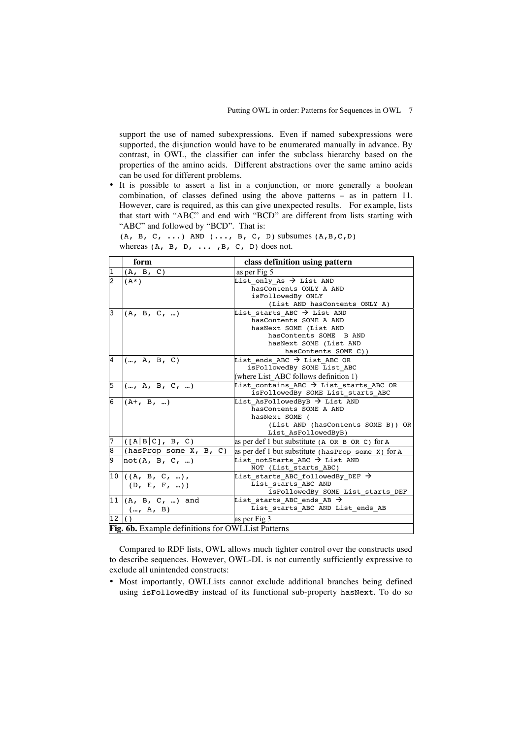support the use of named subexpressions. Even if named subexpressions were supported, the disjunction would have to be enumerated manually in advance. By contrast, in OWL, the classifier can infer the subclass hierarchy based on the properties of the amino acids. Different abstractions over the same amino acids can be used for different problems.

• It is possible to assert a list in a conjunction, or more generally a boolean combination, of classes defined using the above patterns – as in pattern 11. However, care is required, as this can give unexpected results. For example, lists that start with "ABC" and end with "BCD" are different from lists starting with "ABC" and followed by "BCD". That is:

 $(A, B, C, \ldots)$  AND  $(\ldots, B, C, D)$  subsumes  $(A, B, C, D)$ whereas  $(A, B, D, \ldots, B, C, D)$  does not.

|                | form                                                     | class definition using pattern                                                                                                                                                                          |  |  |
|----------------|----------------------------------------------------------|---------------------------------------------------------------------------------------------------------------------------------------------------------------------------------------------------------|--|--|
| $\mathbf{1}$   | (A, B, C)                                                | as per Fig 5                                                                                                                                                                                            |  |  |
| $\overline{2}$ | $(A^*)$                                                  | List only As $\rightarrow$ List AND<br>hasContents ONLY A AND<br>isFollowedBy ONLY                                                                                                                      |  |  |
| 3              | (A, B, C, )                                              | (List AND hasContents ONLY A)<br>List starts ABC $\rightarrow$ List AND<br>hasContents SOME A AND<br>hasNext SOME (List AND<br>hasContents SOME B AND<br>hasNext SOME (List AND<br>hasContents SOME C)) |  |  |
| 4              | (, A, B, C)                                              | List ends ABC $\rightarrow$ List ABC OR<br>isFollowedBy SOME List ABC<br>(where List ABC follows definition 1)                                                                                          |  |  |
| 5              | (, A, B, C, )                                            | List contains ABC $\rightarrow$ List starts ABC OR<br>isFollowedBy SOME List starts ABC                                                                                                                 |  |  |
| 6              | $(A+, B, )$                                              | List AsFollowedByB $\rightarrow$ List AND<br>hasContents SOME A AND<br>hasNext SOME (<br>(List AND (hasContents SOME B)) OR<br>List AsFollowedByB)                                                      |  |  |
| 7              | ([A B C], B, C)                                          | as per def 1 but substitute (A OR B OR C) for A                                                                                                                                                         |  |  |
| 8              | (hasProp some X, B, C)                                   | as per def 1 but substitute (hasProp some X) for A                                                                                                                                                      |  |  |
| 9              | not(A, B, C, )                                           | List notStarts ABC $\rightarrow$ List AND<br>NOT (List starts ABC)                                                                                                                                      |  |  |
|                | 10 $((A, B, C, )$<br>(D, E, F, ))                        | List starts ABC followedBy DEF $\rightarrow$<br>List starts ABC AND<br>isFollowedBy SOME List_starts_DEF                                                                                                |  |  |
| 11             | $(A, B, C, )$ and<br>(, A, B)                            | List starts ABC ends AB $\rightarrow$<br>List starts ABC AND List ends AB                                                                                                                               |  |  |
| 12             |                                                          | as per Fig 3                                                                                                                                                                                            |  |  |
|                | <b>Fig. 6b.</b> Example definitions for OWLList Patterns |                                                                                                                                                                                                         |  |  |

Compared to RDF lists, OWL allows much tighter control over the constructs used to describe sequences. However, OWL-DL is not currently sufficiently expressive to exclude all unintended constructs:

• Most importantly, OWLLists cannot exclude additional branches being defined using isFollowedBy instead of its functional sub-property hasNext. To do so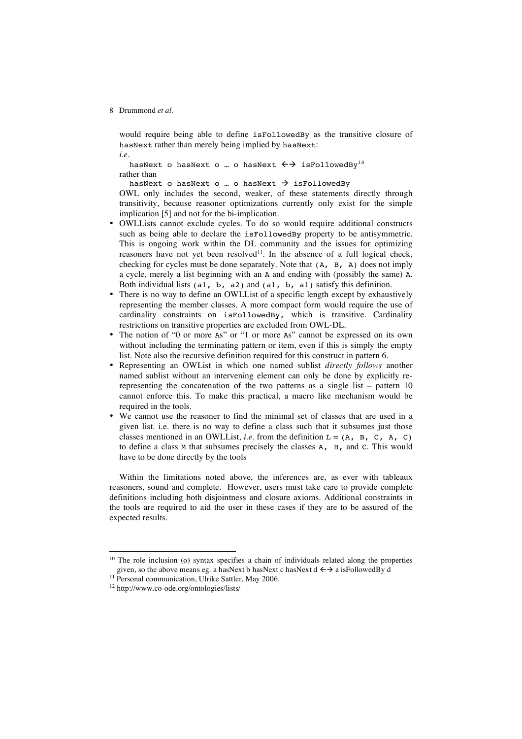would require being able to define isFollowedBy as the transitive closure of hasNext rather than merely being implied by hasNext: *i.e.*

hasNext o hasNext o ... o hasNext  $\leftrightarrow$  isFollowedBy<sup>10</sup> rather than

hasNext o hasNext o ... o hasNext  $\rightarrow$  isFollowedBy

OWL only includes the second, weaker, of these statements directly through transitivity, because reasoner optimizations currently only exist for the simple implication [5] and not for the bi-implication.

- OWLLists cannot exclude cycles. To do so would require additional constructs such as being able to declare the isFollowedBy property to be antisymmetric. This is ongoing work within the DL community and the issues for optimizing reasoners have not yet been resolved<sup>11</sup>. In the absence of a full logical check, checking for cycles must be done separately. Note that (A, B, A) does not imply a cycle, merely a list beginning with an A and ending with (possibly the same) A. Both individual lists (a1, b, a2) and (a1, b, a1) satisfy this definition.
- There is no way to define an OWLL ist of a specific length except by exhaustively representing the member classes. A more compact form would require the use of cardinality constraints on isFollowedBy, which is transitive. Cardinality restrictions on transitive properties are excluded from OWL-DL.
- The notion of "0 or more As" or "1 or more As" cannot be expressed on its own without including the terminating pattern or item, even if this is simply the empty list. Note also the recursive definition required for this construct in pattern 6.
- Representing an OWList in which one named sublist *directly follows* another named sublist without an intervening element can only be done by explicitly rerepresenting the concatenation of the two patterns as a single list – pattern 10 cannot enforce this. To make this practical, a macro like mechanism would be required in the tools.
- We cannot use the reasoner to find the minimal set of classes that are used in a given list. i.e. there is no way to define a class such that it subsumes just those classes mentioned in an OWLList, *i.e.* from the definition  $L = (A, B, C, A, C)$ to define a class M that subsumes precisely the classes A, B, and C. This would have to be done directly by the tools

Within the limitations noted above, the inferences are, as ever with tableaux reasoners, sound and complete. However, users must take care to provide complete definitions including both disjointness and closure axioms. Additional constraints in the tools are required to aid the user in these cases if they are to be assured of the expected results.

 $10$  The role inclusion (o) syntax specifies a chain of individuals related along the properties given, so the above means eg. a hasNext b hasNext c hasNext  $d \leftrightarrow a$  isFollowedBy d

<sup>&</sup>lt;sup>11</sup> Personal communication, Ulrike Sattler, May 2006.

<sup>12</sup> http://www.co-ode.org/ontologies/lists/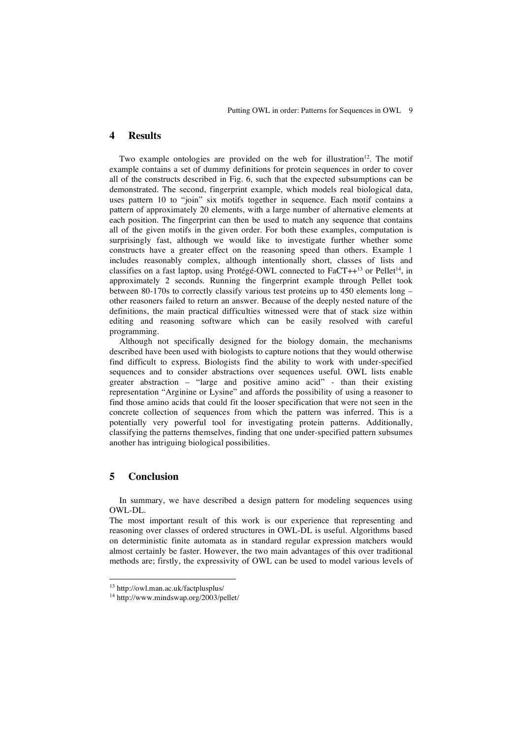### **4 Results**

Two example ontologies are provided on the web for illustration<sup>12</sup>. The motif example contains a set of dummy definitions for protein sequences in order to cover all of the constructs described in Fig. 6, such that the expected subsumptions can be demonstrated. The second, fingerprint example, which models real biological data, uses pattern 10 to "join" six motifs together in sequence. Each motif contains a pattern of approximately 20 elements, with a large number of alternative elements at each position. The fingerprint can then be used to match any sequence that contains all of the given motifs in the given order. For both these examples, computation is surprisingly fast, although we would like to investigate further whether some constructs have a greater effect on the reasoning speed than others. Example 1 includes reasonably complex, although intentionally short, classes of lists and classifies on a fast laptop, using Protégé-OWL connected to FaCT++<sup>13</sup> or Pellet<sup>14</sup>, in approximately 2 seconds. Running the fingerprint example through Pellet took between 80-170s to correctly classify various test proteins up to 450 elements long – other reasoners failed to return an answer. Because of the deeply nested nature of the definitions, the main practical difficulties witnessed were that of stack size within editing and reasoning software which can be easily resolved with careful programming.

Although not specifically designed for the biology domain, the mechanisms described have been used with biologists to capture notions that they would otherwise find difficult to express. Biologists find the ability to work with under-specified sequences and to consider abstractions over sequences useful. OWL lists enable greater abstraction – "large and positive amino acid" - than their existing representation "Arginine or Lysine" and affords the possibility of using a reasoner to find those amino acids that could fit the looser specification that were not seen in the concrete collection of sequences from which the pattern was inferred. This is a potentially very powerful tool for investigating protein patterns. Additionally, classifying the patterns themselves, finding that one under-specified pattern subsumes another has intriguing biological possibilities.

# **5 Conclusion**

In summary, we have described a design pattern for modeling sequences using OWL-DL.

The most important result of this work is our experience that representing and reasoning over classes of ordered structures in OWL-DL is useful. Algorithms based on deterministic finite automata as in standard regular expression matchers would almost certainly be faster. However, the two main advantages of this over traditional methods are; firstly, the expressivity of OWL can be used to model various levels of

 <sup>13</sup> http://owl.man.ac.uk/factplusplus/

<sup>14</sup> http://www.mindswap.org/2003/pellet/